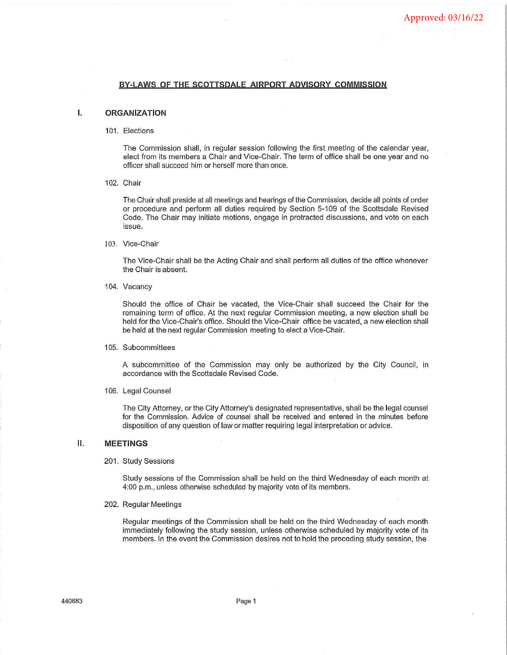## **BY-LAWS Of THE SCOTTSDALE AIRPORT ADVISORY COMMISSION**

# I. **ORGANIZATION**

101. Elections

The Commission shall, in regular session following the first meeting of the calendar year, elect from its members a Chair and Vice-Chair. The term of office shall be one year and no officer shall succeed him or herself more than once.

102. Chair

The Chair shall preside at all meetings and hearings of the Commission, decide all points of order or procedure and perform all duties required by Section 5-109 of the Scottsdale Revised Code. The Chair may initiate motions, engage in protracted discussions, and vote on each issue.

103. Vice-Chair

The Vice-Chair shall be the Acting Chair and shall perform all duties of the office whenever the Chair is absent.

104. Vacancy

Should the office of Chair be vacated, the Vice-Chair shall succeed the Chair for the remaining term of office. At the next regular Commission meeting, a new election shall be held for the Vice-Chair's office. Should the Vice-Chair office be vacated, a new election shall be held at the next regular Commission meeting to elect a Vice-Chair.

#### 105. Subcommittees

A subcommittee of the Commission may only be authorized by the City Council, in accordance with the Scottsdale Revised Code.

106. Legal Counsel

The City Attorney, or the City Attorney's designated representative, shall be the legal counsel for the Commission. Advice of counsel shall be received and entered in the minutes before disposition of any question of law or matter requiring legal interpretation or advice.

## II. **MEETINGS**

#### 201. Study Sessions

Study sessions of the Commission shall be held on the third Wednesday of each month at 4:00 p.m., unless otherwise scheduled by majority vote of its members.

202. Regular Meetings

Regular meetings of the Commission shall be held on the third Wednesday of each month immediately following the study session, unless otherwise scheduled by majority vote of its members. In the event the Commission desires not to hold the preceding study session, the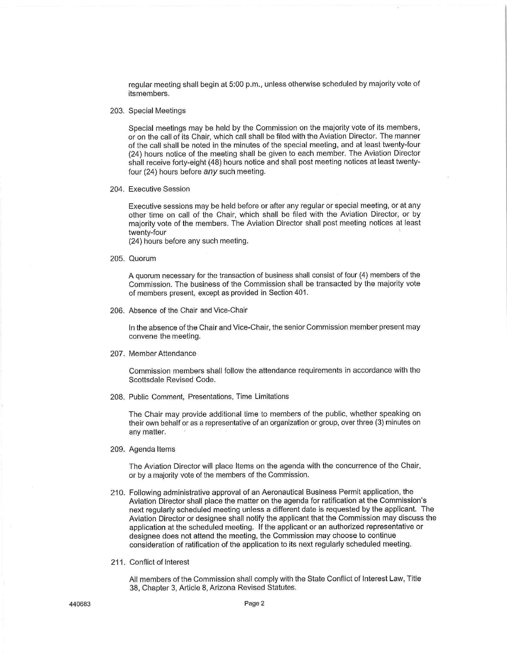regular meeting shall begin at 5:00 p.m., unless otherwise scheduled by majority vote of its members.

203. Special Meetings

Special meetings may be held by the Commission on the majority vote of its members, or on the call of its Chair, which call shall be filed with the Aviation Director. The manner of the call shall be noted in the minutes of the special meeting, and at least twenty-four (24) hours notice of the meeting shall be given to each member. The Aviation Director shall receive forty-eight (48) hours notice and shall post meeting notices at least twentyfour (24) hours before *any* such meeting.

204. Executive Session

Executive sessions may be held before or after any regular or special meeting, or at any other time on call of the Chair, which shall be filed with the Aviation Director, or by majority vote of the members. The Aviation Director shall post meeting notices at least twenty-four

(24) hours before any such meeting.

205. Quorum

A quorum necessary for the transaction of business shall consist of four (4) members of the Commission. The business of the Commission shall be transacted by the majority vote of members present, except as provided in Section 401.

206. Absence of the Chair and Vice-Chair

In the absence of the Chair and Vice-Chair, the senior Commission member present may convene the meeting.

207. Member Attendance

Commission members shall follow the attendance requirements in accordance with the Scottsdale Revised Code.

208. Public Comment, Presentations, Time Limitations

The Chair may provide additional time to members of the public, whether speaking on their own behalf or as a representative of an organization or group, over three (3) minutes on any matter.

209. Agenda Items

The Aviation Director will place Items on the agenda with the concurrence of the Chair, or by a majority vote of the members of the Commission.

- 210. Following administrative approval of an Aeronautical Business Permit application, the Aviation Director shall place the matter on the agenda for ratification at the Commission's next regularly scheduled meeting unless a different date is requested by the applicant. The Aviation Director or designee shall notify the applicant that the Commission may discuss the application at the scheduled meeting. If the applicant or an authorized representative or designee does not attend the meeting, the Commission may choose to continue consideration of ratification of the application to its next regularly scheduled meeting.
- 211. Conflict of Interest

All members of the Commission shall comply with the State Conflict of Interest Law, Title 38, Chapter 3, Article 8, Arizona Revised Statutes.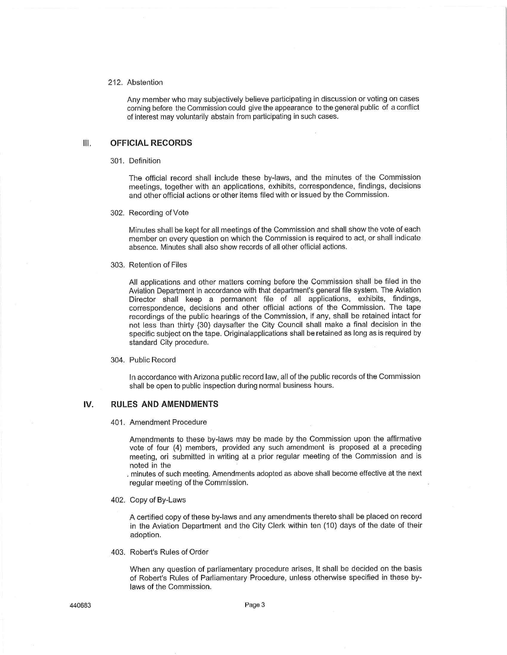## 212. Abstention

Any member who may subjectively believe participating in discussion or voting on cases corning before the Commission could give the appearance to the general public of a conflict of interest may voluntarily abstain from participating in such cases.

# Ill. **OFFICIAL RECORDS**

301. Definition

The official record shall include these by-laws, and the minutes of the Commission meetings, together with an applications, exhibits, correspondence, findings, decisions and other official actions or other items filed with or issued by the Commission.

302. Recording of Vote

Minutes shall be kept for all meetings of the Commission and shall show the vote of each member on every question on which the Commission is required to act, or shall indicate absence. Minutes shall also show records of all other official actions.

303. Retention of Files

All applications and other matters coming before the Commission shall be filed in the Aviation Department in accordance with that department's general file system. The Aviation Director shall keep a permanent file of all applications, exhibits, findings, correspondence, decisions and other official actions of the Commission. The tape recordings of the public hearings of the Commission, if any, shall be retained intact for not less than thirty {30) daysafter the City Council shall make a final decision in the specific subject on the tape. Originalapplications shall be retained as long as is required by standard City procedure.

#### 304. Public Record

In accordance with Arizona public record law, all of the public records of the Commission shall be open to public inspection during normal business hours.

#### **IV. RULES AND AMENDMENTS**

401 . Amendment Procedure

Amendments to these by-laws may be made by the Commission upon the affirmative vote of four (4) members, provided any such amendment is proposed at a preceding meeting, ori submitted in writing at a prior regular meeting of the Commission and is noted in the

. minutes of such meeting. Amendments adopted as above shall become effective at the next regular meeting of the Commission.

402. Copy of By-Laws

A certified copy of these by-laws and any amendments thereto shall be placed on record in the Aviation Department and the City Clerk within ten (10) days of the date of their adoption.

403. Robert's Rules of Order

When any question of parliamentary procedure arises, It shall be decided on the basis of Robert's Rules of Parliamentary Procedure, unless otherwise specified in these bylaws of the Commission.